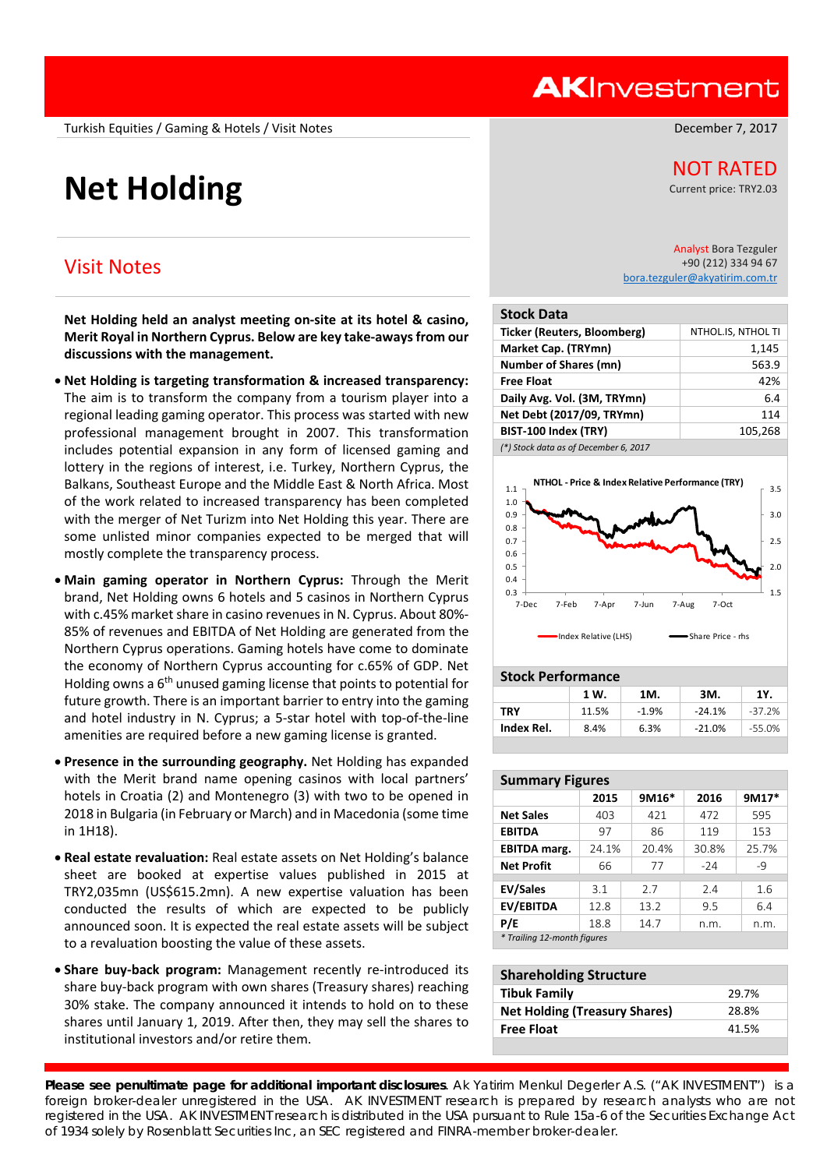Turkish Equities / Gaming & Hotels / Visit Notes **December 7, 2017** and Campus Control of the December 7, 2017

# **Net Holding Net Holding**

# Visit Notes

**Net Holding held an analyst meeting on‐site at its hotel & casino, Merit Royal in Northern Cyprus. Below are key take‐aways from our discussions with the management.** 

- **Net Holding is targeting transformation & increased transparency:**  The aim is to transform the company from a tourism player into a regional leading gaming operator. This process was started with new professional management brought in 2007. This transformation includes potential expansion in any form of licensed gaming and lottery in the regions of interest, i.e. Turkey, Northern Cyprus, the Balkans, Southeast Europe and the Middle East & North Africa. Most of the work related to increased transparency has been completed with the merger of Net Turizm into Net Holding this year. There are some unlisted minor companies expected to be merged that will mostly complete the transparency process.
- Future growth. There is an important barrier to entry into the gaming and hotel industry in N. Cyprus; a 5-star hotel with top-of-the-line amenities are required before a new gaming license is granted. **Main gaming operator in Northern Cyprus:**  Through the Merit brand, Net Holding owns 6 hotels and 5 casinos in Northern Cyprus with c.45% market share in casino revenues in N. Cyprus. About 80%‐ 85% of revenues and EBITDA of Net Holding are generated from the Northern Cyprus operations. Gaming hotels have come to dominate the economy of Northern Cyprus accounting for c.65% of GDP. Net Holding owns a  $6<sup>th</sup>$  unused gaming license that points to potential for
- **Presence in the surrounding geography.** Net Holding has expanded with the Merit brand name opening casinos with local partners' hotels in Croatia (2) and Montenegro (3) with two to be opened in 2018 in Bulgaria (in February or March) and in Macedonia (some time in 1H18).
- **Real estate revaluation:** Real estate assets on Net Holding's balance sheet are booked at expertise values published in 2015 at TRY2,035mn (US\$615.2mn). A new expertise valuation has been conducted the results of which are expected to be publicly announced soon. It is expected the real estate assets will be subject to a revaluation boosting the value of these assets.
- **Share buy‐back program:**  Management recently re‐introduced its share buy‐back program with own shares (Treasury shares) reaching 30% stake. The company announced it intends to hold on to these shares until January 1, 2019. After then, they may sell the shares to institutional investors and/or retire them.

Current price: TRY2.03

Analyst Bora Tezguler +90 (212) 334 94 67 bora.tezguler@akyatirim.com.tr

| <b>Stock Data</b>                     |                    |
|---------------------------------------|--------------------|
| <b>Ticker (Reuters, Bloomberg)</b>    | NTHOL.IS, NTHOL TI |
| Market Cap. (TRYmn)                   | 1,145              |
| <b>Number of Shares (mn)</b>          | 563.9              |
| <b>Free Float</b>                     | 42%                |
| Daily Avg. Vol. (3M, TRYmn)           | 6.4                |
| Net Debt (2017/09, TRYmn)             | 114                |
| BIST-100 Index (TRY)                  | 105,268            |
| (*) Stock data as of December 6, 2017 |                    |

1.5 2.0 2.5 3.0 3.5 0.3 0.4 0.5 0.6 0.7 0.8 0.9 1.0 1.1 7‐Dec 7‐Feb 7‐Apr 7‐Jun 7‐Aug 7‐Oct **NTHOL ‐ Price & Index Relative Performance (TRY)** Index Relative (LHS) Share Price - rhs

#### **Stock Performance**

| <b>SLOCK LELIOLINGIILE</b> |       |         |          |          |  |
|----------------------------|-------|---------|----------|----------|--|
|                            | 1 W.  | 1M.     | 3M.      | 1Y.      |  |
| <b>TRY</b>                 | 11.5% | $-1.9%$ | $-24.1%$ | $-37.2%$ |  |
| Index Rel.                 | 8.4%  | 6.3%    | $-21.0%$ | $-55.0%$ |  |
|                            |       |         |          |          |  |

| <b>Summary Figures</b>      |       |  |       |       |       |  |
|-----------------------------|-------|--|-------|-------|-------|--|
|                             | 2015  |  | 9M16* | 2016  | 9M17* |  |
| <b>Net Sales</b>            | 403   |  | 421   | 472   | 595   |  |
| <b>EBITDA</b>               | 97    |  | 86    | 119   | 153   |  |
| <b>EBITDA</b> marg.         | 24.1% |  | 20.4% | 30.8% | 25.7% |  |
| <b>Net Profit</b>           | 66    |  | 77    | $-24$ | $-9$  |  |
|                             |       |  |       |       |       |  |
| <b>EV/Sales</b>             | 3.1   |  | 2.7   | 2.4   | 1.6   |  |
| <b>EV/EBITDA</b>            | 12.8  |  | 13.2  | 9.5   | 6.4   |  |
| P/E                         | 18.8  |  | 14.7  | n.m.  | n.m.  |  |
| * Trailing 12-month figures |       |  |       |       |       |  |

| <b>Shareholding Structure</b>        |       |  |  |  |
|--------------------------------------|-------|--|--|--|
| <b>Tibuk Family</b>                  | 29.7% |  |  |  |
| <b>Net Holding (Treasury Shares)</b> | 28.8% |  |  |  |
| <b>Free Float</b>                    | 41.5% |  |  |  |

**Please see penultimate page for additional important disclosures**. Ak Yatirim Menkul Degerler A.S. ("AK INVESTMENT") is a foreign broker-dealer unregistered in the USA. AK INVESTMENT research is prepared by research analysts who are not registered in the USA. AK INVESTMENT research is distributed in the USA pursuant to Rule 15a-6 of the Securities Exchange Act of 1934 solely by Rosenblatt Securities Inc, an SEC registered and FINRA-member broker-dealer.

# **AKInvestment**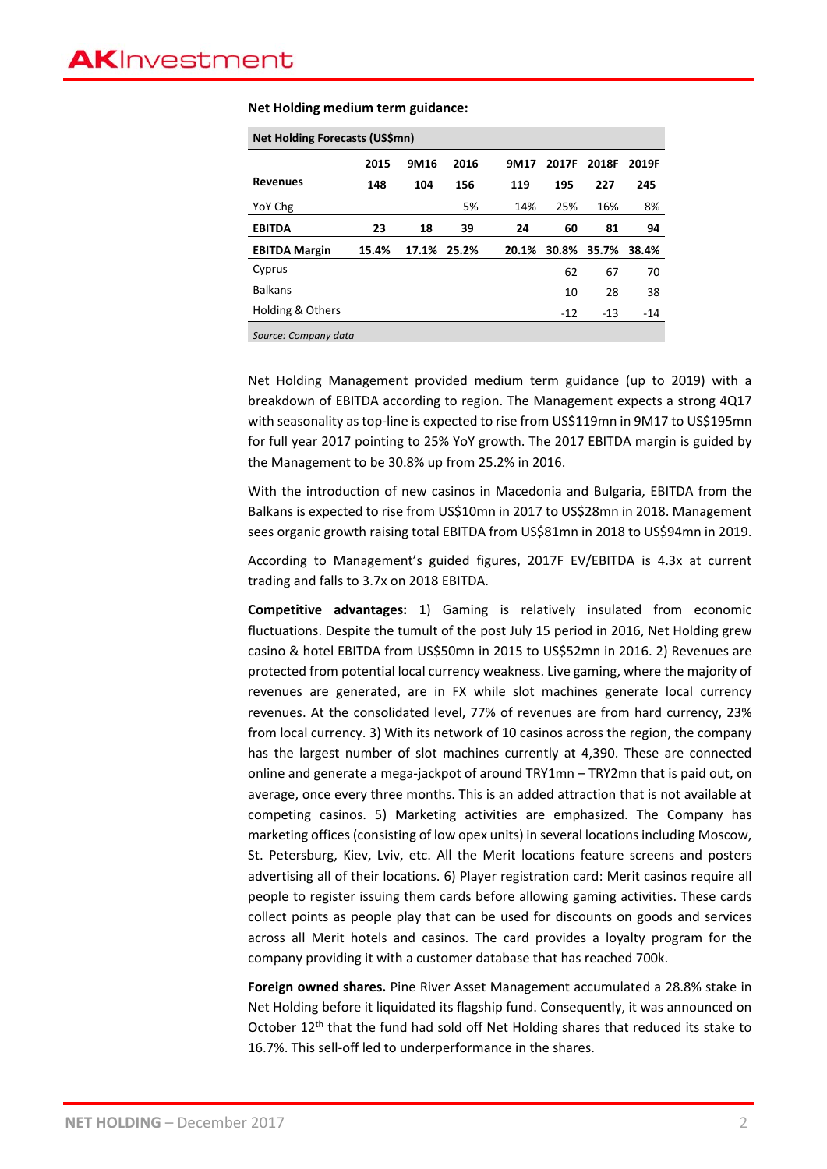| Net Holding Forecasts (US\$mn) |       |      |             |       |       |       |       |
|--------------------------------|-------|------|-------------|-------|-------|-------|-------|
|                                | 2015  | 9M16 | 2016        | 9M17  | 2017F | 2018F | 2019F |
| <b>Revenues</b>                | 148   | 104  | 156         | 119   | 195   | 227   | 245   |
| YoY Chg                        |       |      | 5%          | 14%   | 25%   | 16%   | 8%    |
| <b>EBITDA</b>                  | 23    | 18   | 39          | 24    | 60    | 81    | 94    |
| <b>EBITDA Margin</b>           | 15.4% |      | 17.1% 25.2% | 20.1% | 30.8% | 35.7% | 38.4% |
| Cyprus                         |       |      |             |       | 62    | 67    | 70    |
| <b>Balkans</b>                 |       |      |             |       | 10    | 28    | 38    |
| Holding & Others               |       |      |             |       | $-12$ | $-13$ | $-14$ |
| Source: Company data           |       |      |             |       |       |       |       |

**Net Holding medium term guidance:** 

Net Holding Management provided medium term guidance (up to 2019) with a breakdown of EBITDA according to region. The Management expects a strong 4Q17 with seasonality as top-line is expected to rise from US\$119mn in 9M17 to US\$195mn for full year 2017 pointing to 25% YoY growth. The 2017 EBITDA margin is guided by the Management to be 30.8% up from 25.2% in 2016.

With the introduction of new casinos in Macedonia and Bulgaria, EBITDA from the Balkans is expected to rise from US\$10mn in 2017 to US\$28mn in 2018. Management sees organic growth raising total EBITDA from US\$81mn in 2018 to US\$94mn in 2019.

According to Management's guided figures, 2017F EV/EBITDA is 4.3x at current trading and falls to 3.7x on 2018 EBITDA.

**Competitive advantages:**  1) Gaming is relatively insulated from economic fluctuations. Despite the tumult of the post July 15 period in 2016, Net Holding grew casino & hotel EBITDA from US\$50mn in 2015 to US\$52mn in 2016. 2) Revenues are protected from potential local currency weakness. Live gaming, where the majority of revenues are generated, are in FX while slot machines generate local currency revenues. At the consolidated level, 77% of revenues are from hard currency, 23% from local currency. 3) With its network of 10 casinos across the region, the company has the largest number of slot machines currently at 4,390. These are connected online and generate a mega‐jackpot of around TRY1mn – TRY2mn that is paid out, on average, once every three months. This is an added attraction that is not available at competing casinos. 5) Marketing activities are emphasized. The Company has marketing offices (consisting of low opex units) in several locations including Moscow, St. Petersburg, Kiev, Lviv, etc. All the Merit locations feature screens and posters advertising all of their locations. 6) Player registration card: Merit casinos require all people to register issuing them cards before allowing gaming activities. These cards collect points as people play that can be used for discounts on goods and services across all Merit hotels and casinos. The card provides a loyalty program for the company providing it with a customer database that has reached 700k.

**Foreign owned shares.** Pine River Asset Management accumulated a 28.8% stake in Net Holding before it liquidated its flagship fund. Consequently, it was announced on October 12<sup>th</sup> that the fund had sold off Net Holding shares that reduced its stake to 16.7%. This sell‐off led to underperformance in the shares.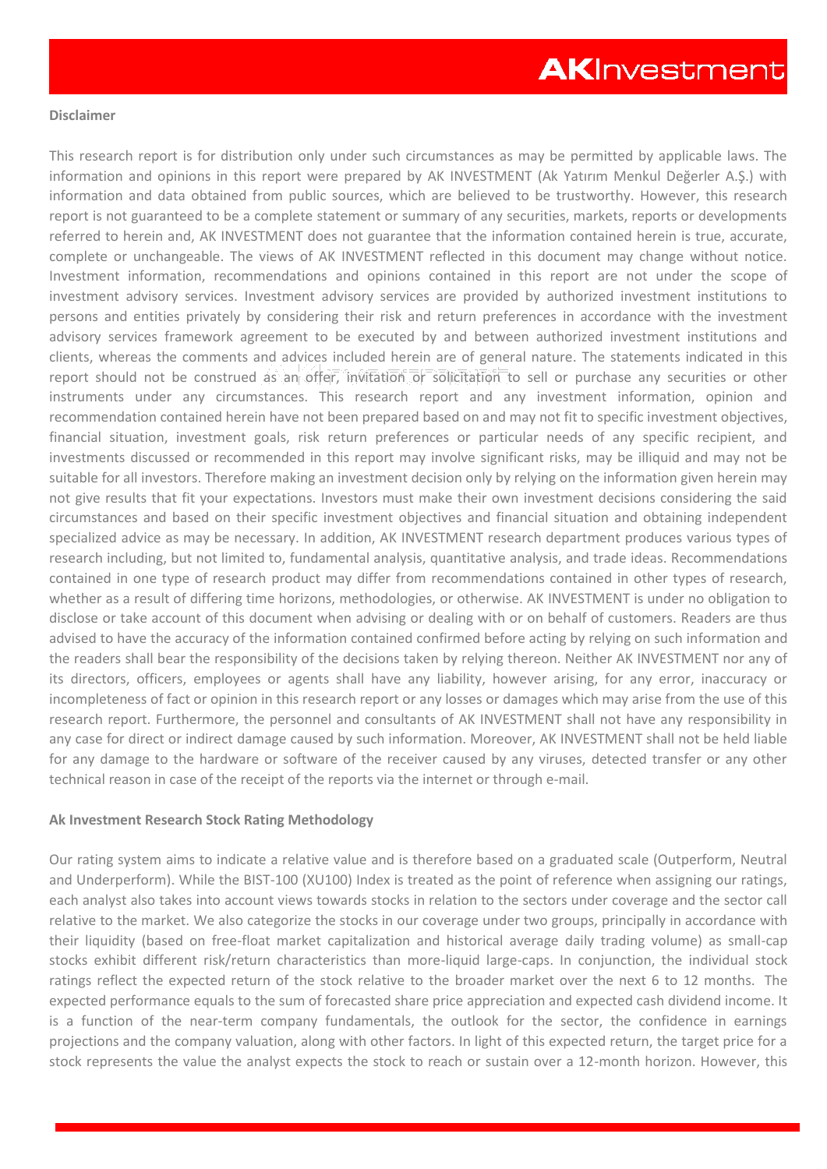#### **Disclaimer**

This research report is for distribution only under such circumstances as may be permitted by applicable laws. The information and opinions in this report were prepared by AK INVESTMENT (Ak Yatırım Menkul Değerler A.Ş.) with information and data obtained from public sources, which are believed to be trustworthy. However, this research report is not guaranteed to be a complete statement or summary of any securities, markets, reports or developments referred to herein and, AK INVESTMENT does not guarantee that the information contained herein is true, accurate, complete or unchangeable. The views of AK INVESTMENT reflected in this document may change without notice. Investment information, recommendations and opinions contained in this report are not under the scope of investment advisory services. Investment advisory services are provided by authorized investment institutions to persons and entities privately by considering their risk and return preferences in accordance with the investment advisory services framework agreement to be executed by and between authorized investment institutions and clients, whereas the comments and advices included herein are of general nature. The statements indicated in this report should not be construed as an offer, invitation or solicitation to sell or purchase any securities or other instruments under any circumstances. This research report and any investment information, opinion and recommendation contained herein have not been prepared based on and may not fit to specific investment objectives, financial situation, investment goals, risk return preferences or particular needs of any specific recipient, and investments discussed or recommended in this report may involve significant risks, may be illiquid and may not be suitable for all investors. Therefore making an investment decision only by relying on the information given herein may not give results that fit your expectations. Investors must make their own investment decisions considering the said circumstances and based on their specific investment objectives and financial situation and obtaining independent specialized advice as may be necessary. In addition, AK INVESTMENT research department produces various types of research including, but not limited to, fundamental analysis, quantitative analysis, and trade ideas. Recommendations contained in one type of research product may differ from recommendations contained in other types of research, whether as a result of differing time horizons, methodologies, or otherwise. AK INVESTMENT is under no obligation to disclose or take account of this document when advising or dealing with or on behalf of customers. Readers are thus advised to have the accuracy of the information contained confirmed before acting by relying on such information and the readers shall bear the responsibility of the decisions taken by relying thereon. Neither AK INVESTMENT nor any of its directors, officers, employees or agents shall have any liability, however arising, for any error, inaccuracy or incompleteness of fact or opinion in this research report or any losses or damages which may arise from the use of this research report. Furthermore, the personnel and consultants of AK INVESTMENT shall not have any responsibility in any case for direct or indirect damage caused by such information. Moreover, AK INVESTMENT shall not be held liable for any damage to the hardware or software of the receiver caused by any viruses, detected transfer or any other technical reason in case of the receipt of the reports via the internet or through e-mail.

# **Ak Investment Research Stock Rating Methodology**

Our rating system aims to indicate a relative value and is therefore based on a graduated scale (Outperform, Neutral and Underperform). While the BIST-100 (XU100) Index is treated as the point of reference when assigning our ratings, each analyst also takes into account views towards stocks in relation to the sectors under coverage and the sector call relative to the market. We also categorize the stocks in our coverage under two groups, principally in accordance with their liquidity (based on free-float market capitalization and historical average daily trading volume) as small-cap stocks exhibit different risk/return characteristics than more-liquid large-caps. In conjunction, the individual stock ratings reflect the expected return of the stock relative to the broader market over the next 6 to 12 months. The expected performance equals to the sum of forecasted share price appreciation and expected cash dividend income. It is a function of the near-term company fundamentals, the outlook for the sector, the confidence in earnings projections and the company valuation, along with other factors. In light of this expected return, the target price for a stock represents the value the analyst expects the stock to reach or sustain over a 12-month horizon. However, this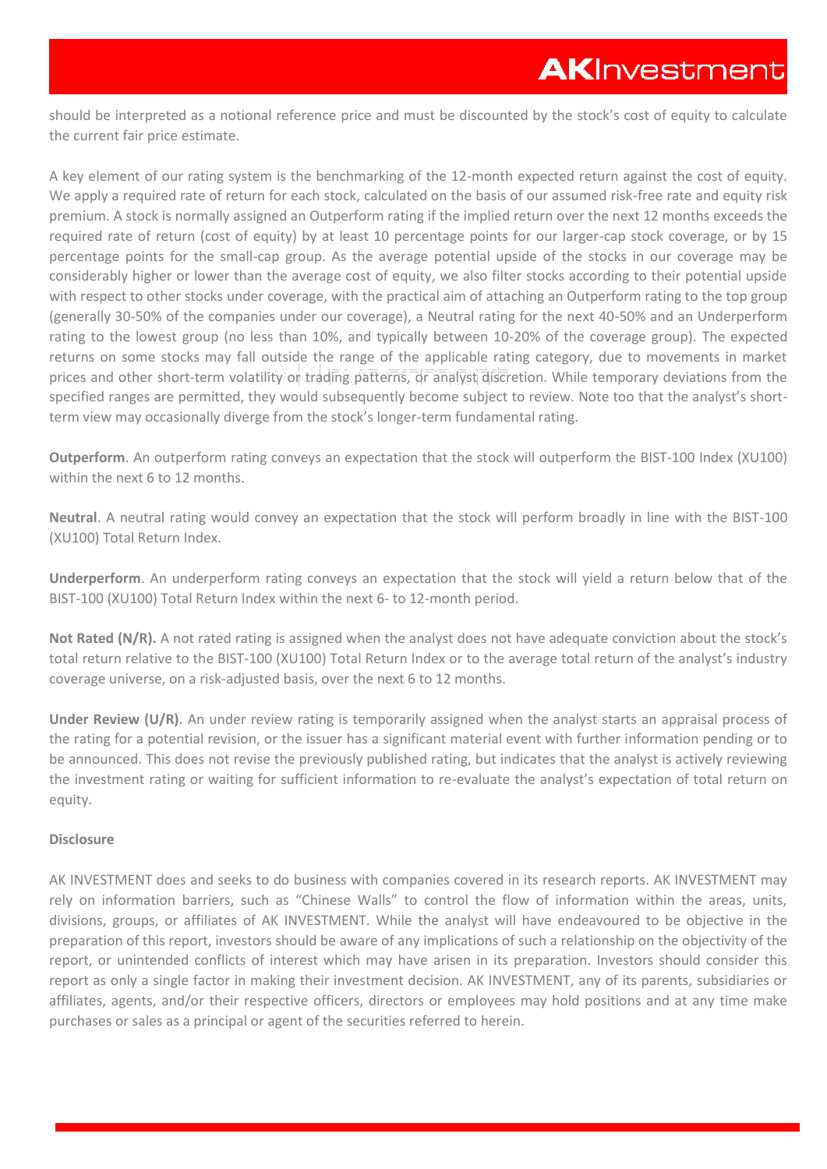should be interpreted as a notional reference price and must be discounted by the stock's cost of equity to calculate the current fair price estimate.

A key element of our rating system is the benchmarking of the 12-month expected return against the cost of equity. We apply a required rate of return for each stock, calculated on the basis of our assumed risk-free rate and equity risk premium. A stock is normally assigned an Outperform rating if the implied return over the next 12 months exceeds the required rate of return (cost of equity) by at least 10 percentage points for our larger-cap stock coverage, or by 15 percentage points for the small-cap group. As the average potential upside of the stocks in our coverage may be considerably higher or lower than the average cost of equity, we also filter stocks according to their potential upside with respect to other stocks under coverage, with the practical aim of attaching an Outperform rating to the top group (generally 30-50% of the companies under our coverage), a Neutral rating for the next 40-50% and an Underperform rating to the lowest group (no less than 10%, and typically between 10-20% of the coverage group). The expected returns on some stocks may fall outside the range of the applicable rating category, due to movements in market prices and other short-term volatility or trading patterns, or analyst discretion. While temporary deviations from the specified ranges are permitted, they would subsequently become subject to review. Note too that the analyst's shortterm view may occasionally diverge from the stock's longer-term fundamental rating.

**Outperform**. An outperform rating conveys an expectation that the stock will outperform the BIST-100 Index (XU100) within the next 6 to 12 months.

**Neutral**. A neutral rating would convey an expectation that the stock will perform broadly in line with the BIST-100 (XU100) Total Return Index.

**Underperform**. An underperform rating conveys an expectation that the stock will yield a return below that of the BIST-100 (XU100) Total Return Index within the next 6- to 12-month period.

Not Rated (N/R). A not rated rating is assigned when the analyst does not have adequate conviction about the stock's total return relative to the BIST-100 (XU100) Total Return Index or to the average total return of the analyst's industry coverage universe, on a risk-adjusted basis, over the next 6 to 12 months.

**Under Review (U/R)**. An under review rating is temporarily assigned when the analyst starts an appraisal process of the rating for a potential revision, or the issuer has a significant material event with further information pending or to be announced. This does not revise the previously published rating, but indicates that the analyst is actively reviewing the investment rating or waiting for sufficient information to re-evaluate the analyst's expectation of total return on equity.

# **Disclosure**

AK INVESTMENT does and seeks to do business with companies covered in its research reports. AK INVESTMENT may rely on information barriers, such as "Chinese Walls" to control the flow of information within the areas, units, divisions, groups, or affiliates of AK INVESTMENT. While the analyst will have endeavoured to be objective in the preparation of this report, investors should be aware of any implications of such a relationship on the objectivity of the report, or unintended conflicts of interest which may have arisen in its preparation. Investors should consider this report as only a single factor in making their investment decision. AK INVESTMENT, any of its parents, subsidiaries or affiliates, agents, and/or their respective officers, directors or employees may hold positions and at any time make purchases or sales as a principal or agent of the securities referred to herein.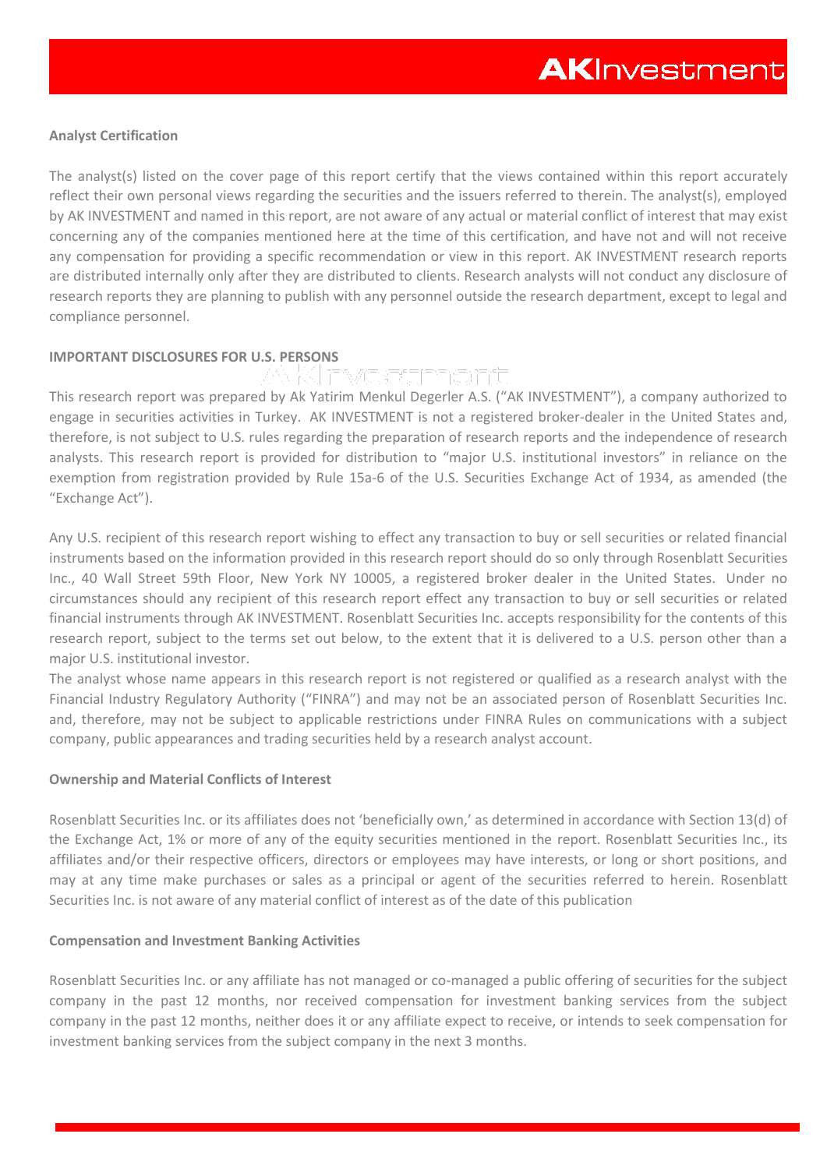# **Analyst Certification**

The analyst(s) listed on the cover page of this report certify that the views contained within this report accurately reflect their own personal views regarding the securities and the issuers referred to therein. The analyst(s), employed by AK INVESTMENT and named in this report, are not aware of any actual or material conflict of interest that may exist concerning any of the companies mentioned here at the time of this certification, and have not and will not receive any compensation for providing a specific recommendation or view in this report. AK INVESTMENT research reports are distributed internally only after they are distributed to clients. Research analysts will not conduct any disclosure of research reports they are planning to publish with any personnel outside the research department, except to legal and compliance personnel.

# **IMPORTANT DISCLOSURES FOR U.S. PERSONS**

This research report was prepared by Ak Yatirim Menkul Degerler A.S. ("AK INVESTMENT"), a company authorized to engage in securities activities in Turkey. AK INVESTMENT is not a registered broker-dealer in the United States and, therefore, is not subject to U.S. rules regarding the preparation of research reports and the independence of research analysts. This research report is provided for distribution to "major U.S. institutional investors" in reliance on the exemption from registration provided by Rule 15a-6 of the U.S. Securities Exchange Act of 1934, as amended (the "Exchange Act").

Any U.S. recipient of this research report wishing to effect any transaction to buy or sell securities or related financial instruments based on the information provided in this research report should do so only through Rosenblatt Securities Inc., 40 Wall Street 59th Floor, New York NY 10005, a registered broker dealer in the United States. Under no circumstances should any recipient of this research report effect any transaction to buy or sell securities or related financial instruments through AK INVESTMENT. Rosenblatt Securities Inc. accepts responsibility for the contents of this research report, subject to the terms set out below, to the extent that it is delivered to a U.S. person other than a major U.S. institutional investor.

The analyst whose name appears in this research report is not registered or qualified as a research analyst with the Financial Industry Regulatory Authority ("FINRA") and may not be an associated person of Rosenblatt Securities Inc. and, therefore, may not be subject to applicable restrictions under FINRA Rules on communications with a subject company, public appearances and trading securities held by a research analyst account.

# **Ownership and Material Conflicts of Interest**

Rosenblatt Securities Inc. or its affiliates does not 'beneficially own,' as determined in accordance with Section 13(d) of the Exchange Act, 1% or more of any of the equity securities mentioned in the report. Rosenblatt Securities Inc., its affiliates and/or their respective officers, directors or employees may have interests, or long or short positions, and may at any time make purchases or sales as a principal or agent of the securities referred to herein. Rosenblatt Securities Inc. is not aware of any material conflict of interest as of the date of this publication

# **Compensation and Investment Banking Activities**

Rosenblatt Securities Inc. or any affiliate has not managed or co-managed a public offering of securities for the subject company in the past 12 months, nor received compensation for investment banking services from the subject company in the past 12 months, neither does it or any affiliate expect to receive, or intends to seek compensation for investment banking services from the subject company in the next 3 months.